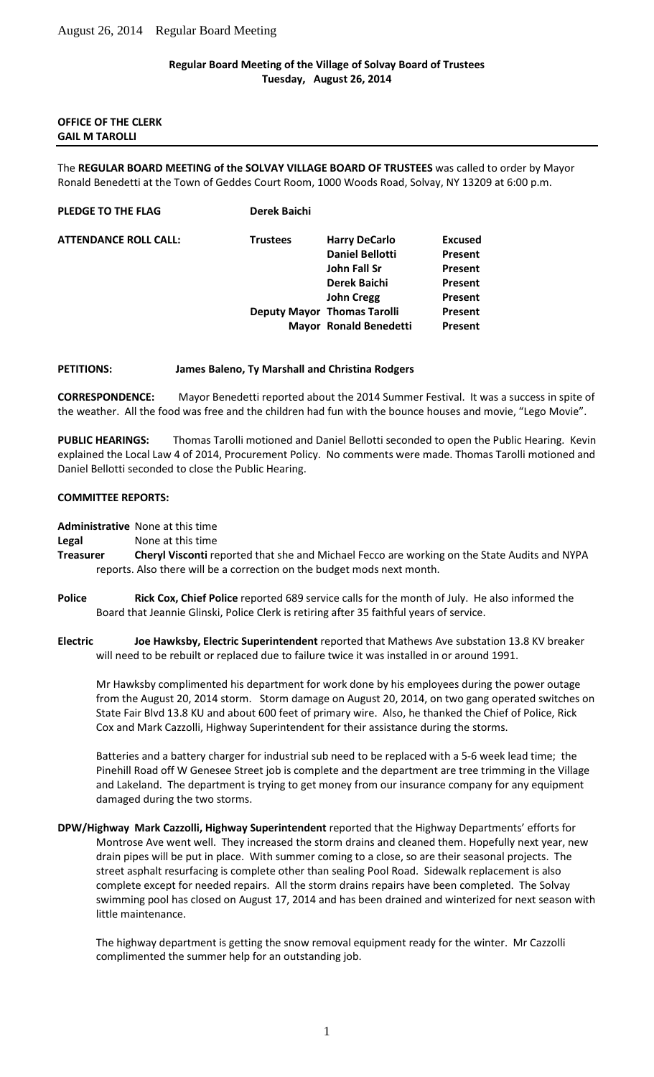## **Regular Board Meeting of the Village of Solvay Board of Trustees Tuesday, August 26, 2014**

### **OFFICE OF THE CLERK GAIL M TAROLLI**

The **REGULAR BOARD MEETING of the SOLVAY VILLAGE BOARD OF TRUSTEES** was called to order by Mayor Ronald Benedetti at the Town of Geddes Court Room, 1000 Woods Road, Solvay, NY 13209 at 6:00 p.m.

| Derek Baichi    |                        |                                                                     |
|-----------------|------------------------|---------------------------------------------------------------------|
| <b>Trustees</b> | <b>Harry DeCarlo</b>   | <b>Excused</b>                                                      |
|                 | <b>Daniel Bellotti</b> | Present                                                             |
|                 | John Fall Sr           | Present                                                             |
|                 | Derek Baichi           | <b>Present</b>                                                      |
|                 | <b>John Cregg</b>      | <b>Present</b>                                                      |
|                 |                        | <b>Present</b>                                                      |
|                 |                        | Present                                                             |
|                 |                        | <b>Deputy Mayor Thomas Tarolli</b><br><b>Mayor Ronald Benedetti</b> |

## **PETITIONS: James Baleno, Ty Marshall and Christina Rodgers**

**CORRESPONDENCE:** Mayor Benedetti reported about the 2014 Summer Festival. It was a success in spite of the weather. All the food was free and the children had fun with the bounce houses and movie, "Lego Movie".

**PUBLIC HEARINGS:** Thomas Tarolli motioned and Daniel Bellotti seconded to open the Public Hearing. Kevin explained the Local Law 4 of 2014, Procurement Policy. No comments were made. Thomas Tarolli motioned and Daniel Bellotti seconded to close the Public Hearing.

## **COMMITTEE REPORTS:**

**Administrative** None at this time

**Legal** None at this time

- **Treasurer Cheryl Visconti** reported that she and Michael Fecco are working on the State Audits and NYPA reports. Also there will be a correction on the budget mods next month.
- **Police Rick Cox, Chief Police** reported 689 service calls for the month of July. He also informed the Board that Jeannie Glinski, Police Clerk is retiring after 35 faithful years of service.
- **Electric Joe Hawksby, Electric Superintendent** reported that Mathews Ave substation 13.8 KV breaker will need to be rebuilt or replaced due to failure twice it was installed in or around 1991.

Mr Hawksby complimented his department for work done by his employees during the power outage from the August 20, 2014 storm. Storm damage on August 20, 2014, on two gang operated switches on State Fair Blvd 13.8 KU and about 600 feet of primary wire. Also, he thanked the Chief of Police, Rick Cox and Mark Cazzolli, Highway Superintendent for their assistance during the storms.

Batteries and a battery charger for industrial sub need to be replaced with a 5-6 week lead time; the Pinehill Road off W Genesee Street job is complete and the department are tree trimming in the Village and Lakeland. The department is trying to get money from our insurance company for any equipment damaged during the two storms.

**DPW/Highway Mark Cazzolli, Highway Superintendent** reported that the Highway Departments' efforts for Montrose Ave went well. They increased the storm drains and cleaned them. Hopefully next year, new drain pipes will be put in place. With summer coming to a close, so are their seasonal projects. The street asphalt resurfacing is complete other than sealing Pool Road. Sidewalk replacement is also complete except for needed repairs. All the storm drains repairs have been completed. The Solvay swimming pool has closed on August 17, 2014 and has been drained and winterized for next season with little maintenance.

The highway department is getting the snow removal equipment ready for the winter. Mr Cazzolli complimented the summer help for an outstanding job.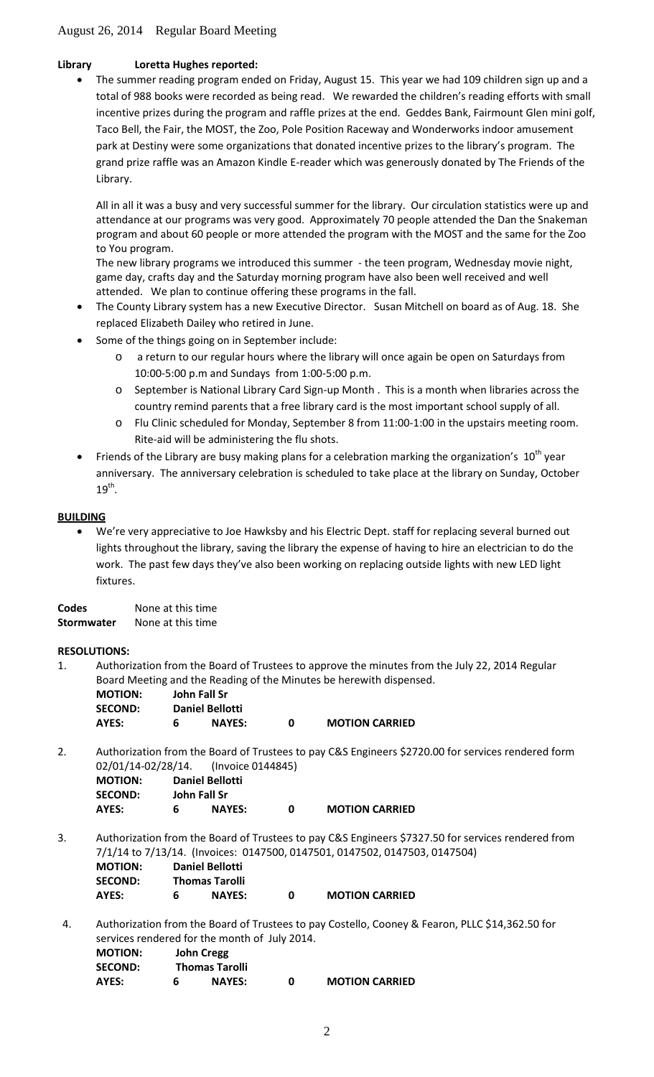# **Library Loretta Hughes reported:**

• The summer reading program ended on Friday, August 15. This year we had 109 children sign up and a total of 988 books were recorded as being read. We rewarded the children's reading efforts with small incentive prizes during the program and raffle prizes at the end. Geddes Bank, Fairmount Glen mini golf, Taco Bell, the Fair, the MOST, the Zoo, Pole Position Raceway and Wonderworks indoor amusement park at Destiny were some organizations that donated incentive prizes to the library's program. The grand prize raffle was an Amazon Kindle E-reader which was generously donated by The Friends of the Library.

All in all it was a busy and very successful summer for the library. Our circulation statistics were up and attendance at our programs was very good. Approximately 70 people attended the Dan the Snakeman program and about 60 people or more attended the program with the MOST and the same for the Zoo to You program.

The new library programs we introduced this summer - the teen program, Wednesday movie night, game day, crafts day and the Saturday morning program have also been well received and well attended. We plan to continue offering these programs in the fall.

- The County Library system has a new Executive Director. Susan Mitchell on board as of Aug. 18. She replaced Elizabeth Dailey who retired in June.
- Some of the things going on in September include:
	- o a return to our regular hours where the library will once again be open on Saturdays from 10:00-5:00 p.m and Sundays from 1:00-5:00 p.m.
	- o September is National Library Card Sign-up Month . This is a month when libraries across the country remind parents that a free library card is the most important school supply of all.
	- o Flu Clinic scheduled for Monday, September 8 from 11:00-1:00 in the upstairs meeting room. Rite-aid will be administering the flu shots.
- Friends of the Library are busy making plans for a celebration marking the organization's  $10^{th}$  year anniversary. The anniversary celebration is scheduled to take place at the library on Sunday, October  $19<sup>th</sup>$ .

# **BUILDING**

• We're very appreciative to Joe Hawksby and his Electric Dept. staff for replacing several burned out lights throughout the library, saving the library the expense of having to hire an electrician to do the work. The past few days they've also been working on replacing outside lights with new LED light fixtures.

**Codes** None at this time **Stormwater** None at this time

# **RESOLUTIONS:**

1. Authorization from the Board of Trustees to approve the minutes from the July 22, 2014 Regular Board Meeting and the Reading of the Minutes be herewith dispensed.

| <b>MOTION:</b> |   | John Fall Sr           |   |                       |
|----------------|---|------------------------|---|-----------------------|
| <b>SECOND:</b> |   | <b>Daniel Bellotti</b> |   |                       |
| AYES:          | 6 | <b>NAYES:</b>          | n | <b>MOTION CARRIED</b> |

2. Authorization from the Board of Trustees to pay C&S Engineers \$2720.00 for services rendered form 02/01/14-02/28/14. (Invoice 0144845)

| <b>MOTION:</b> | <b>Daniel Bellotti</b> |               |   |                       |  |
|----------------|------------------------|---------------|---|-----------------------|--|
| <b>SECOND:</b> |                        | John Fall Sr  |   |                       |  |
| AYES:          | 6                      | <b>NAYES:</b> | n | <b>MOTION CARRIED</b> |  |

- 3. Authorization from the Board of Trustees to pay C&S Engineers \$7327.50 for services rendered from 7/1/14 to 7/13/14. (Invoices: 0147500, 0147501, 0147502, 0147503, 0147504)  **MOTION: Daniel Bellotti SECOND: Thomas Tarolli AYES: 6 NAYES: 0 MOTION CARRIED**
- 4. Authorization from the Board of Trustees to pay Costello, Cooney & Fearon, PLLC \$14,362.50 for services rendered for the month of July 2014.

| <b>MOTION:</b> |   | <b>John Cregg</b>     |   |                       |
|----------------|---|-----------------------|---|-----------------------|
| <b>SECOND:</b> |   | <b>Thomas Tarolli</b> |   |                       |
| AYES:          | 6 | <b>NAYES:</b>         | O | <b>MOTION CARRIED</b> |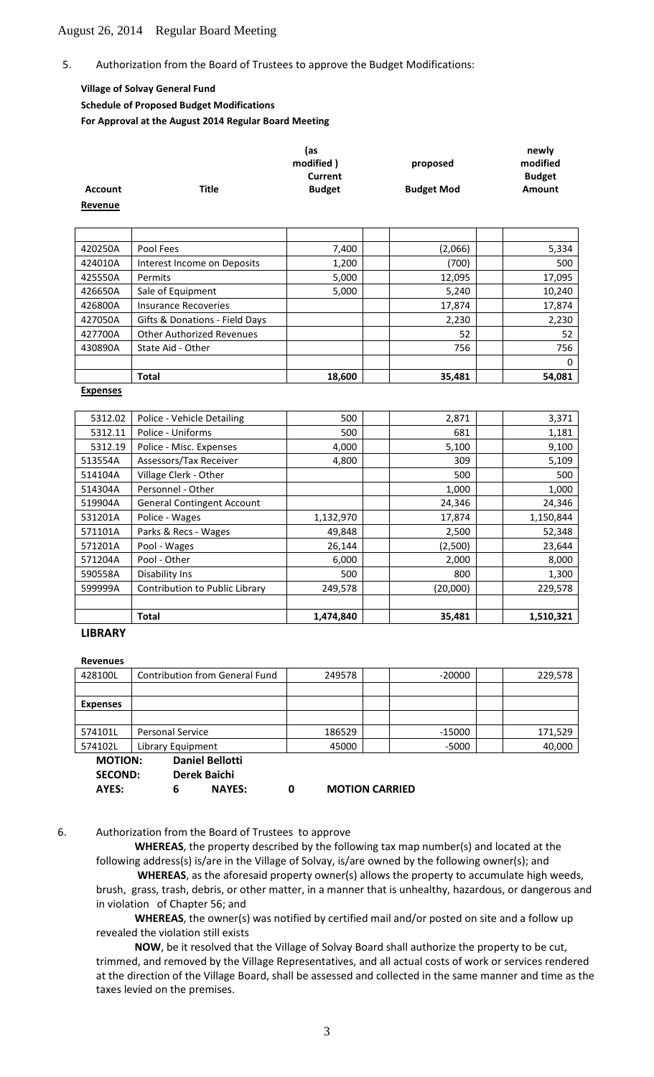#### 5. Authorization from the Board of Trustees to approve the Budget Modifications:

## **Village of Solvay General Fund Schedule of Proposed Budget Modifications**

**For Approval at the August 2014 Regular Board Meeting**

|                |       | (as           |                   | newly         |
|----------------|-------|---------------|-------------------|---------------|
|                |       | modified)     | proposed          | modified      |
|                |       | Current       |                   | <b>Budget</b> |
| <b>Account</b> | Title | <b>Budget</b> | <b>Budget Mod</b> | <b>Amount</b> |
| Revenue        |       |               |                   |               |

| 420250A | Pool Fees                        | 7,400  | (2,066) | 5,334  |
|---------|----------------------------------|--------|---------|--------|
| 424010A | Interest Income on Deposits      | 1,200  | (700)   | 500    |
| 425550A | Permits                          | 5,000  | 12,095  | 17,095 |
| 426650A | Sale of Equipment                | 5,000  | 5,240   | 10,240 |
| 426800A | <b>Insurance Recoveries</b>      |        | 17,874  | 17,874 |
| 427050A | Gifts & Donations - Field Days   |        | 2,230   | 2,230  |
| 427700A | <b>Other Authorized Revenues</b> |        | 52      | 52     |
| 430890A | State Aid - Other                |        | 756     | 756    |
|         |                                  |        |         | 0      |
|         | <b>Total</b>                     | 18,600 | 35,481  | 54,081 |

#### **Expenses**

| 5312.02 | Police - Vehicle Detailing        | 500       | 2,871    | 3,371     |
|---------|-----------------------------------|-----------|----------|-----------|
| 5312.11 | Police - Uniforms                 | 500       | 681      | 1,181     |
| 5312.19 | Police - Misc. Expenses           | 4,000     | 5,100    | 9,100     |
| 513554A | Assessors/Tax Receiver            | 4,800     | 309      | 5,109     |
| 514104A | Village Clerk - Other             |           | 500      | 500       |
| 514304A | Personnel - Other                 |           | 1,000    | 1,000     |
| 519904A | <b>General Contingent Account</b> |           | 24,346   | 24,346    |
| 531201A | Police - Wages                    | 1,132,970 | 17,874   | 1,150,844 |
| 571101A | Parks & Recs - Wages              | 49,848    | 2,500    | 52,348    |
| 571201A | Pool - Wages                      | 26,144    | (2,500)  | 23,644    |
| 571204A | Pool - Other                      | 6,000     | 2,000    | 8,000     |
| 590558A | Disability Ins                    | 500       | 800      | 1,300     |
| 599999A | Contribution to Public Library    | 249,578   | (20,000) | 229,578   |
|         |                                   |           |          |           |
|         | <b>Total</b>                      | 1,474,840 | 35,481   | 1,510,321 |

**LIBRARY**

**Revenues**

| 428100L         | <b>Contribution from General Fund</b> | 249578 | $-20000$              | 229,578 |
|-----------------|---------------------------------------|--------|-----------------------|---------|
|                 |                                       |        |                       |         |
| <b>Expenses</b> |                                       |        |                       |         |
|                 |                                       |        |                       |         |
| 574101L         | <b>Personal Service</b>               | 186529 | -15000                | 171,529 |
| 574102L         | Library Equipment                     | 45000  | $-5000$               | 40,000  |
| <b>MOTION:</b>  | <b>Daniel Bellotti</b>                |        |                       |         |
| <b>SECOND:</b>  | Derek Baichi                          |        |                       |         |
| AYES:           | <b>NAYES:</b><br>6                    | 0      | <b>MOTION CARRIED</b> |         |

6. Authorization from the Board of Trustees to approve

**WHEREAS**, the property described by the following tax map number(s) and located at the following address(s) is/are in the Village of Solvay, is/are owned by the following owner(s); and

**WHEREAS**, as the aforesaid property owner(s) allows the property to accumulate high weeds, brush, grass, trash, debris, or other matter, in a manner that is unhealthy, hazardous, or dangerous and in violation of Chapter 56; and

**WHEREAS**, the owner(s) was notified by certified mail and/or posted on site and a follow up revealed the violation still exists

**NOW**, be it resolved that the Village of Solvay Board shall authorize the property to be cut, trimmed, and removed by the Village Representatives, and all actual costs of work or services rendered at the direction of the Village Board, shall be assessed and collected in the same manner and time as the taxes levied on the premises.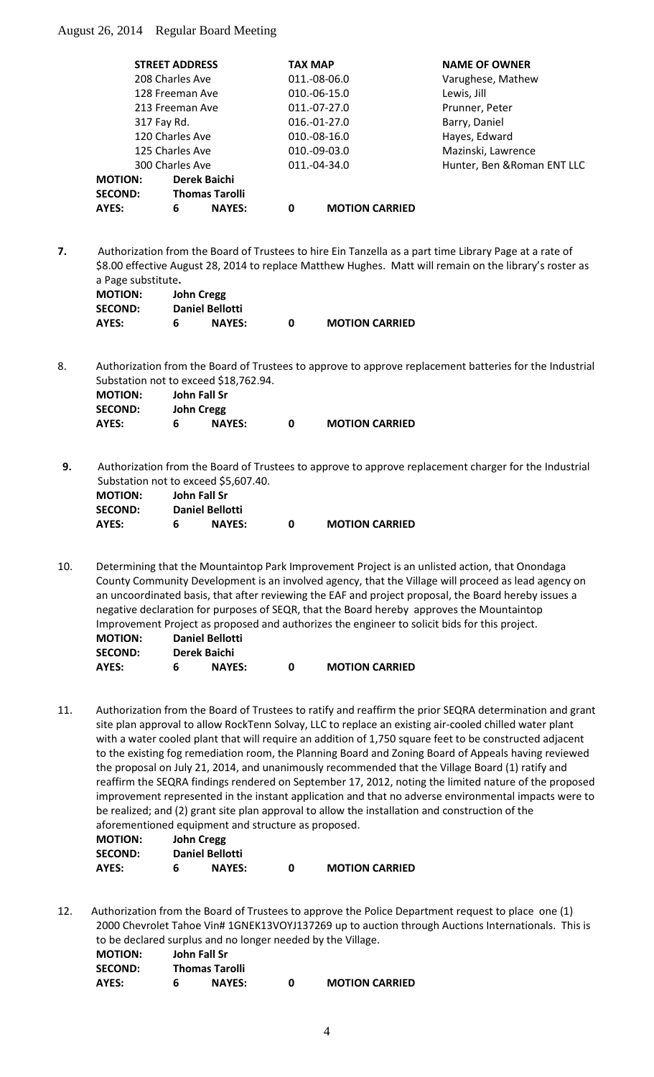| <b>STREET ADDRESS</b> |   |                       | <b>TAX MAP</b> |                       | <b>NAME OF OWNER</b>        |
|-----------------------|---|-----------------------|----------------|-----------------------|-----------------------------|
| 208 Charles Ave       |   |                       |                | 011.-08-06.0          | Varughese, Mathew           |
| 128 Freeman Ave       |   |                       |                | 010.-06-15.0          | Lewis, Jill                 |
| 213 Freeman Ave       |   |                       |                | $011.-07-27.0$        | Prunner, Peter              |
| 317 Fay Rd.           |   |                       |                | 016.-01-27.0          | Barry, Daniel               |
| 120 Charles Ave       |   |                       |                | $010.-08-16.0$        | Hayes, Edward               |
| 125 Charles Ave       |   |                       |                | 010.-09-03.0          | Mazinski, Lawrence          |
| 300 Charles Ave       |   |                       |                | 011.-04-34.0          | Hunter, Ben & Roman ENT LLC |
| <b>MOTION:</b>        |   | Derek Baichi          |                |                       |                             |
| <b>SECOND:</b>        |   | <b>Thomas Tarolli</b> |                |                       |                             |
| AYES:                 | 6 | <b>NAYES:</b>         | 0              | <b>MOTION CARRIED</b> |                             |

**7.** Authorization from the Board of Trustees to hire Ein Tanzella as a part time Library Page at a rate of \$8.00 effective August 28, 2014 to replace Matthew Hughes. Matt will remain on the library's roster as a Page substitute**.**

| <b>MOTION:</b> | John Cregg             |   |                       |
|----------------|------------------------|---|-----------------------|
| <b>SECOND:</b> | <b>Daniel Bellotti</b> |   |                       |
| AYES:          | <b>NAYES:</b>          | n | <b>MOTION CARRIED</b> |

8. Authorization from the Board of Trustees to approve to approve replacement batteries for the Industrial Substation not to exceed \$18,762.94.

| <b>MOTION:</b> |   | John Fall Sr      |   |                       |
|----------------|---|-------------------|---|-----------------------|
| <b>SECOND:</b> |   | <b>John Cregg</b> |   |                       |
| AYES:          | 6 | <b>NAYES:</b>     | n | <b>MOTION CARRIED</b> |

**9.** Authorization from the Board of Trustees to approve to approve replacement charger for the Industrial Substation not to exceed \$5,607.40.

| <b>MOTION:</b> |   | John Fall Sr           |   |                       |
|----------------|---|------------------------|---|-----------------------|
| <b>SECOND:</b> |   | <b>Daniel Bellotti</b> |   |                       |
| AYES:          | 6 | <b>NAYES:</b>          | n | <b>MOTION CARRIED</b> |

10. Determining that the Mountaintop Park Improvement Project is an unlisted action, that Onondaga County Community Development is an involved agency, that the Village will proceed as lead agency on an uncoordinated basis, that after reviewing the EAF and project proposal, the Board hereby issues a negative declaration for purposes of SEQR, that the Board hereby approves the Mountaintop Improvement Project as proposed and authorizes the engineer to solicit bids for this project.

| <b>MOTION:</b> | <b>Daniel Bellotti</b> |               |  |                       |  |
|----------------|------------------------|---------------|--|-----------------------|--|
| <b>SECOND:</b> | Derek Baichi           |               |  |                       |  |
| AYES:          |                        | <b>NAYES:</b> |  | <b>MOTION CARRIED</b> |  |

11. Authorization from the Board of Trustees to ratify and reaffirm the prior SEQRA determination and grant site plan approval to allow RockTenn Solvay, LLC to replace an existing air-cooled chilled water plant with a water cooled plant that will require an addition of 1,750 square feet to be constructed adjacent to the existing fog remediation room, the Planning Board and Zoning Board of Appeals having reviewed the proposal on July 21, 2014, and unanimously recommended that the Village Board (1) ratify and reaffirm the SEQRA findings rendered on September 17, 2012, noting the limited nature of the proposed improvement represented in the instant application and that no adverse environmental impacts were to be realized; and (2) grant site plan approval to allow the installation and construction of the aforementioned equipment and structure as proposed.

| <b>MOTION:</b> | John Cregg             |               |   |                       |  |  |
|----------------|------------------------|---------------|---|-----------------------|--|--|
| <b>SECOND:</b> | <b>Daniel Bellotti</b> |               |   |                       |  |  |
| AYES:          | 6                      | <b>NAYES:</b> | n | <b>MOTION CARRIED</b> |  |  |

12. Authorization from the Board of Trustees to approve the Police Department request to place one (1) 2000 Chevrolet Tahoe Vin# 1GNEK13VOYJ137269 up to auction through Auctions Internationals. This is to be declared surplus and no longer needed by the Village.

| <b>MOTION:</b> |   | John Fall Sr          |   |                       |
|----------------|---|-----------------------|---|-----------------------|
| <b>SECOND:</b> |   | <b>Thomas Tarolli</b> |   |                       |
| <b>AYES:</b>   | 6 | <b>NAYES:</b>         | n | <b>MOTION CARRIED</b> |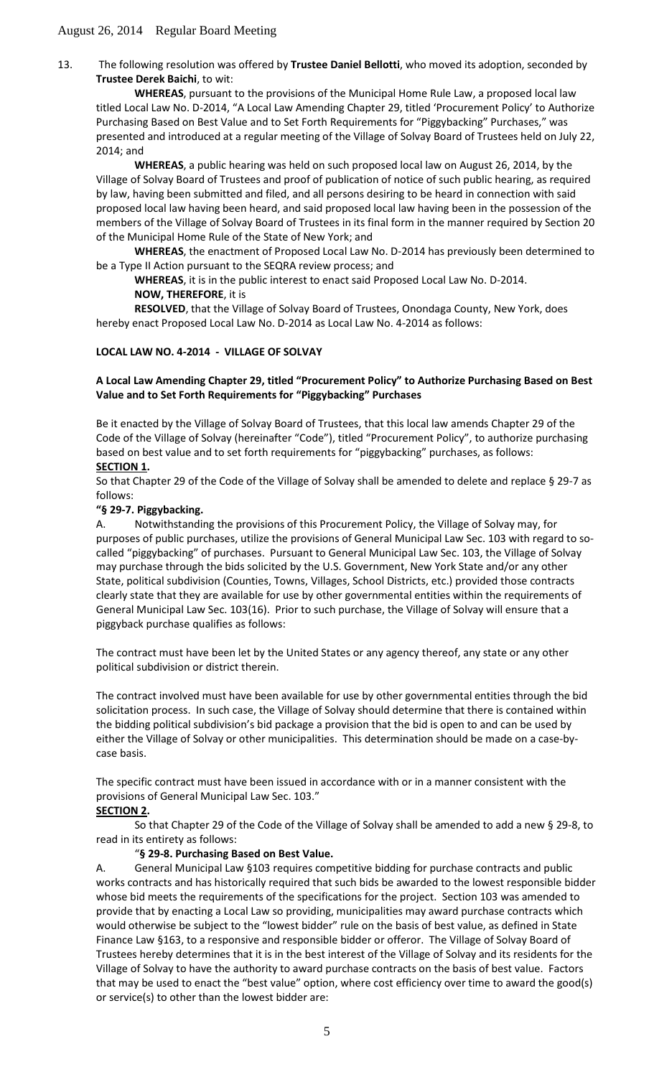13. The following resolution was offered by **Trustee Daniel Bellotti**, who moved its adoption, seconded by **Trustee Derek Baichi**, to wit:

**WHEREAS**, pursuant to the provisions of the Municipal Home Rule Law, a proposed local law titled Local Law No. D-2014, "A Local Law Amending Chapter 29, titled 'Procurement Policy' to Authorize Purchasing Based on Best Value and to Set Forth Requirements for "Piggybacking" Purchases," was presented and introduced at a regular meeting of the Village of Solvay Board of Trustees held on July 22, 2014; and

**WHEREAS**, a public hearing was held on such proposed local law on August 26, 2014, by the Village of Solvay Board of Trustees and proof of publication of notice of such public hearing, as required by law, having been submitted and filed, and all persons desiring to be heard in connection with said proposed local law having been heard, and said proposed local law having been in the possession of the members of the Village of Solvay Board of Trustees in its final form in the manner required by Section 20 of the Municipal Home Rule of the State of New York; and

**WHEREAS**, the enactment of Proposed Local Law No. D-2014 has previously been determined to be a Type II Action pursuant to the SEQRA review process; and

**WHEREAS**, it is in the public interest to enact said Proposed Local Law No. D-2014.

### **NOW, THEREFORE**, it is

**RESOLVED**, that the Village of Solvay Board of Trustees, Onondaga County, New York, does hereby enact Proposed Local Law No. D-2014 as Local Law No. 4-2014 as follows:

# **LOCAL LAW NO. 4-2014 - VILLAGE OF SOLVAY**

## **A Local Law Amending Chapter 29, titled "Procurement Policy" to Authorize Purchasing Based on Best Value and to Set Forth Requirements for "Piggybacking" Purchases**

Be it enacted by the Village of Solvay Board of Trustees, that this local law amends Chapter 29 of the Code of the Village of Solvay (hereinafter "Code"), titled "Procurement Policy", to authorize purchasing based on best value and to set forth requirements for "piggybacking" purchases, as follows: **SECTION 1 .**

So that Chapter 29 of the Code of the Village of Solvay shall be amended to delete and replace § 29-7 as follows:

## **"§ 29-7. Piggybacking.**

A. Notwithstanding the provisions of this Procurement Policy, the Village of Solvay may, for purposes of public purchases, utilize the provisions of General Municipal Law Sec. 103 with regard to socalled "piggybacking" of purchases. Pursuant to General Municipal Law Sec. 103, the Village of Solvay may purchase through the bids solicited by the U.S. Government, New York State and/or any other State, political subdivision (Counties, Towns, Villages, School Districts, etc.) provided those contracts clearly state that they are available for use by other governmental entities within the requirements of General Municipal Law Sec. 103(16). Prior to such purchase, the Village of Solvay will ensure that a piggyback purchase qualifies as follows:

The contract must have been let by the United States or any agency thereof, any state or any other political subdivision or district therein.

The contract involved must have been available for use by other governmental entities through the bid solicitation process. In such case, the Village of Solvay should determine that there is contained within the bidding political subdivision's bid package a provision that the bid is open to and can be used by either the Village of Solvay or other municipalities. This determination should be made on a case-bycase basis.

The specific contract must have been issued in accordance with or in a manner consistent with the provisions of General Municipal Law Sec. 103."

# **SECTION 2 .**

So that Chapter 29 of the Code of the Village of Solvay shall be amended to add a new § 29-8, to read in its entirety as follows:

# "**§ 29-8. Purchasing Based on Best Value.**

A. General Municipal Law §103 requires competitive bidding for purchase contracts and public works contracts and has historically required that such bids be awarded to the lowest responsible bidder whose bid meets the requirements of the specifications for the project. Section 103 was amended to provide that by enacting a Local Law so providing, municipalities may award purchase contracts which would otherwise be subject to the "lowest bidder" rule on the basis of best value, as defined in State Finance Law §163, to a responsive and responsible bidder or offeror. The Village of Solvay Board of Trustees hereby determines that it is in the best interest of the Village of Solvay and its residents for the Village of Solvay to have the authority to award purchase contracts on the basis of best value. Factors that may be used to enact the "best value" option, where cost efficiency over time to award the good(s) or service(s) to other than the lowest bidder are: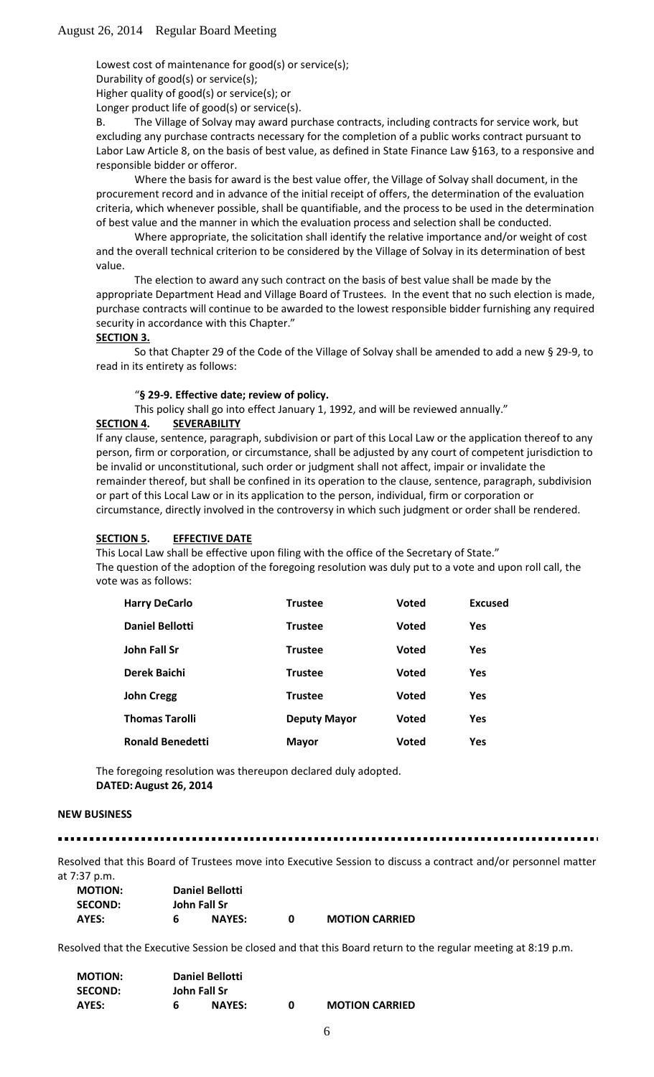Lowest cost of maintenance for good(s) or service(s);

Durability of good(s) or service(s);

Higher quality of good(s) or service(s); or

Longer product life of good(s) or service(s).

B. The Village of Solvay may award purchase contracts, including contracts for service work, but excluding any purchase contracts necessary for the completion of a public works contract pursuant to Labor Law Article 8, on the basis of best value, as defined in State Finance Law §163, to a responsive and responsible bidder or offeror.

Where the basis for award is the best value offer, the Village of Solvay shall document, in the procurement record and in advance of the initial receipt of offers, the determination of the evaluation criteria, which whenever possible, shall be quantifiable, and the process to be used in the determination of best value and the manner in which the evaluation process and selection shall be conducted.

Where appropriate, the solicitation shall identify the relative importance and/or weight of cost and the overall technical criterion to be considered by the Village of Solvay in its determination of best value.

The election to award any such contract on the basis of best value shall be made by the appropriate Department Head and Village Board of Trustees. In the event that no such election is made, purchase contracts will continue to be awarded to the lowest responsible bidder furnishing any required security in accordance with this Chapter."

### **SECTION 3.**

So that Chapter 29 of the Code of the Village of Solvay shall be amended to add a new § 29-9, to read in its entirety as follows:

#### "**§ 29-9. Effective date; review of policy.**

This policy shall go into effect January 1, 1992, and will be reviewed annually."

#### **SECTION 4. SEVERABILITY**

If any clause, sentence, paragraph, subdivision or part of this Local Law or the application thereof to any person, firm or corporation, or circumstance, shall be adjusted by any court of competent jurisdiction to be invalid or unconstitutional, such order or judgment shall not affect, impair or invalidate the remainder thereof, but shall be confined in its operation to the clause, sentence, paragraph, subdivision or part of this Local Law or in its application to the person, individual, firm or corporation or circumstance, directly involved in the controversy in which such judgment or order shall be rendered.

#### **SECTION 5. EFFECTIVE DATE**

This Local Law shall be effective upon filing with the office of the Secretary of State." The question of the adoption of the foregoing resolution was duly put to a vote and upon roll call, the vote was as follows:

| <b>Harry DeCarlo</b>    | <b>Trustee</b>      | <b>Voted</b> | <b>Excused</b> |
|-------------------------|---------------------|--------------|----------------|
| <b>Daniel Bellotti</b>  | <b>Trustee</b>      | <b>Voted</b> | <b>Yes</b>     |
| John Fall Sr            | <b>Trustee</b>      | <b>Voted</b> | <b>Yes</b>     |
| Derek Baichi            | <b>Trustee</b>      | <b>Voted</b> | <b>Yes</b>     |
| <b>John Cregg</b>       | <b>Trustee</b>      | <b>Voted</b> | <b>Yes</b>     |
| <b>Thomas Tarolli</b>   | <b>Deputy Mayor</b> | <b>Voted</b> | <b>Yes</b>     |
| <b>Ronald Benedetti</b> | <b>Mayor</b>        | <b>Voted</b> | <b>Yes</b>     |

The foregoing resolution was thereupon declared duly adopted. **DATED:August 26, 2014**

#### **NEW BUSINESS**

#### 

Resolved that this Board of Trustees move into Executive Session to discuss a contract and/or personnel matter at 7:37 p.m.

| <b>MOTION:</b> | Daniel Bellotti |               |   |                       |  |  |
|----------------|-----------------|---------------|---|-----------------------|--|--|
| <b>SECOND:</b> | John Fall Sr    |               |   |                       |  |  |
| AYES:          | 6               | <b>NAYES:</b> | n | <b>MOTION CARRIED</b> |  |  |

Resolved that the Executive Session be closed and that this Board return to the regular meeting at 8:19 p.m.

| <b>MOTION:</b> |              | <b>Daniel Bellotti</b> |   |                       |
|----------------|--------------|------------------------|---|-----------------------|
| <b>SECOND:</b> | John Fall Sr |                        |   |                       |
| AYES:          | 6            | <b>NAYES:</b>          | o | <b>MOTION CARRIED</b> |